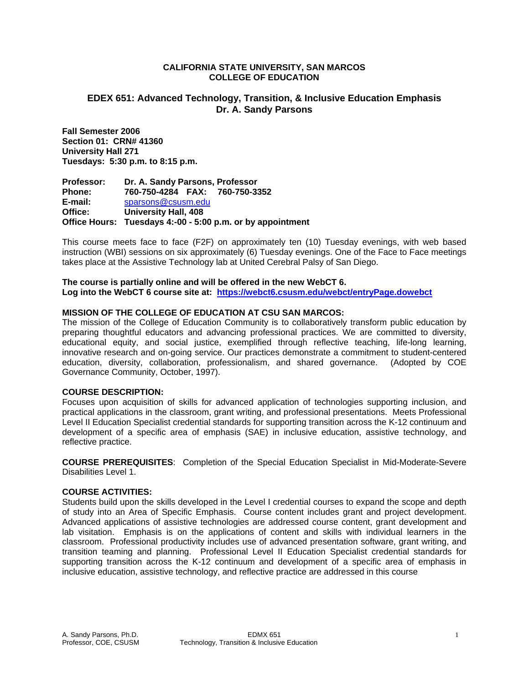### **CALIFORNIA STATE UNIVERSITY, SAN MARCOS COLLEGE OF EDUCATION**

# **EDEX 651: Advanced Technology, Transition, & Inclusive Education Emphasis Dr. A. Sandy Parsons**

**Fall Semester 2006 Section 01: CRN# 41360 University Hall 271 Tuesdays: 5:30 p.m. to 8:15 p.m.** 

**Professor: Dr. A. Sandy Parsons, Professor Phone: 760-750-4284 FAX: 760-750-3352 E-mail:** sparsons@csusm.edu **Office: University Hall, 408 Office Hours: Tuesdays 4:-00 - 5:00 p.m. or by appointment** 

This course meets face to face (F2F) on approximately ten (10) Tuesday evenings, with web based instruction (WBI) sessions on six approximately (6) Tuesday evenings. One of the Face to Face meetings takes place at the Assistive Technology lab at United Cerebral Palsy of San Diego.

**The course is partially online and will be offered in the new WebCT 6.**  Log into the WebCT 6 course site at: https://webct6.csusm.edu/webct/entryPage.dowebct

# **MISSION OF THE COLLEGE OF EDUCATION AT CSU SAN MARCOS:**

The mission of the College of Education Community is to collaboratively transform public education by preparing thoughtful educators and advancing professional practices. We are committed to diversity, educational equity, and social justice, exemplified through reflective teaching, life-long learning, innovative research and on-going service. Our practices demonstrate a commitment to student-centered education, diversity, collaboration, professionalism, and shared governance. (Adopted by COE Governance Community, October, 1997).

# **COURSE DESCRIPTION:**

Focuses upon acquisition of skills for advanced application of technologies supporting inclusion, and practical applications in the classroom, grant writing, and professional presentations. Meets Professional Level II Education Specialist credential standards for supporting transition across the K-12 continuum and development of a specific area of emphasis (SAE) in inclusive education, assistive technology, and reflective practice.

**COURSE PREREQUISITES**: Completion of the Special Education Specialist in Mid-Moderate-Severe Disabilities Level 1.

# **COURSE ACTIVITIES:**

Students build upon the skills developed in the Level I credential courses to expand the scope and depth of study into an Area of Specific Emphasis. Course content includes grant and project development. Advanced applications of assistive technologies are addressed course content, grant development and lab visitation. Emphasis is on the applications of content and skills with individual learners in the classroom. Professional productivity includes use of advanced presentation software, grant writing, and transition teaming and planning. Professional Level II Education Specialist credential standards for supporting transition across the K-12 continuum and development of a specific area of emphasis in inclusive education, assistive technology, and reflective practice are addressed in this course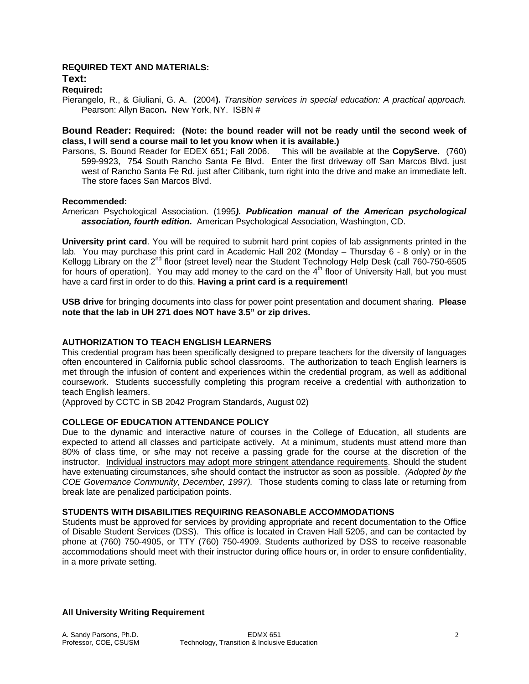# **REQUIRED TEXT AND MATERIALS:**

#### **Text:**

# **Required:**

Pierangelo, R., & Giuliani, G. A. (2004**).** *Transition services in special education: A practical approach.*  Pearson: Allyn Bacon**.** New York, NY. ISBN #

# **Bound Reader: Required: (Note: the bound reader will not be ready until the second week of class, I will send a course mail to let you know when it is available.)**

Parsons, S. Bound Reader for EDEX 651; Fall 2006. This will be available at the **CopyServe**. (760) 599-9923, 754 South Rancho Santa Fe Blvd. Enter the first driveway off San Marcos Blvd. just west of Rancho Santa Fe Rd. just after Citibank, turn right into the drive and make an immediate left. The store faces San Marcos Blvd.

# **Recommended:**

American Psychological Association. (1995*). Publication manual of the American psychological association, fourth edition.* American Psychological Association, Washington, CD.

**University print card**. You will be required to submit hard print copies of lab assignments printed in the lab. You may purchase this print card in Academic Hall 202 (Monday – Thursday 6 - 8 only) or in the Kellogg Library on the 2<sup>nd</sup> floor (street level) near the Student Technology Help Desk (call 760-750-6505 for hours of operation). You may add money to the card on the  $4<sup>th</sup>$  floor of University Hall, but you must have a card first in order to do this. **Having a print card is a requirement!**

**USB drive** for bringing documents into class for power point presentation and document sharing. **Please note that the lab in UH 271 does NOT have 3.5" or zip drives.**

# **AUTHORIZATION TO TEACH ENGLISH LEARNERS**

This credential program has been specifically designed to prepare teachers for the diversity of languages often encountered in California public school classrooms. The authorization to teach English learners is met through the infusion of content and experiences within the credential program, as well as additional coursework. Students successfully completing this program receive a credential with authorization to teach English learners.

(Approved by CCTC in SB 2042 Program Standards, August 02)

# **COLLEGE OF EDUCATION ATTENDANCE POLICY**

Due to the dynamic and interactive nature of courses in the College of Education, all students are expected to attend all classes and participate actively. At a minimum, students must attend more than 80% of class time, or s/he may not receive a passing grade for the course at the discretion of the instructor. Individual instructors may adopt more stringent attendance requirements. Should the student have extenuating circumstances, s/he should contact the instructor as soon as possible. *(Adopted by the COE Governance Community, December, 1997).* Those students coming to class late or returning from break late are penalized participation points.

# **STUDENTS WITH DISABILITIES REQUIRING REASONABLE ACCOMMODATIONS**

Students must be approved for services by providing appropriate and recent documentation to the Office of Disable Student Services (DSS). This office is located in Craven Hall 5205, and can be contacted by phone at (760) 750-4905, or TTY (760) 750-4909. Students authorized by DSS to receive reasonable accommodations should meet with their instructor during office hours or, in order to ensure confidentiality, in a more private setting.

# **All University Writing Requirement**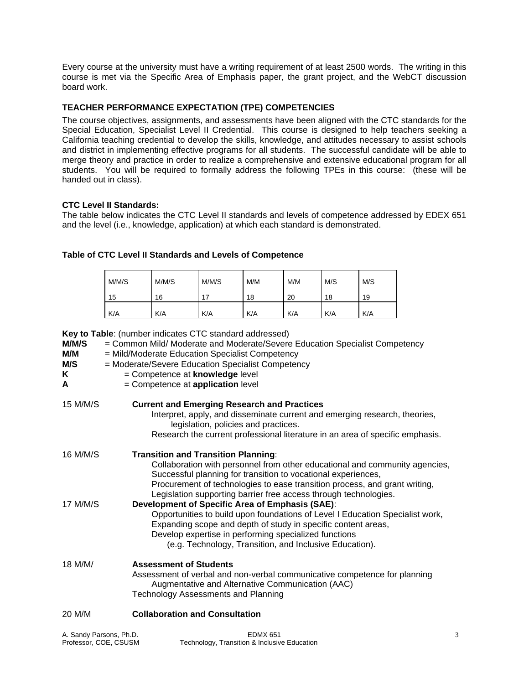Every course at the university must have a writing requirement of at least 2500 words. The writing in this course is met via the Specific Area of Emphasis paper, the grant project, and the WebCT discussion board work.

# **TEACHER PERFORMANCE EXPECTATION (TPE) COMPETENCIES**

The course objectives, assignments, and assessments have been aligned with the CTC standards for the Special Education, Specialist Level II Credential. This course is designed to help teachers seeking a California teaching credential to develop the skills, knowledge, and attitudes necessary to assist schools and district in implementing effective programs for all students. The successful candidate will be able to merge theory and practice in order to realize a comprehensive and extensive educational program for all students. You will be required to formally address the following TPEs in this course: (these will be handed out in class).

# **CTC Level II Standards:**

The table below indicates the CTC Level II standards and levels of competence addressed by EDEX 651 and the level (i.e., knowledge, application) at which each standard is demonstrated.

| Table of CTC Level II Standards and Levels of Competence |
|----------------------------------------------------------|
|----------------------------------------------------------|

| M/M/S | M/M/S | M/M/S | M/M | M/M | M/S | M/S |
|-------|-------|-------|-----|-----|-----|-----|
| 15    | 16    | 17    | 18  | 20  | 18  | 19  |
| K/A   | K/A   | K/A   | K/A | K/A | K/A | K/A |

**Key to Table**: (number indicates CTC standard addressed)

Professor, COE, CSUSM Technology, Transition & Inclusive Education

| M/M/S<br>M/M<br>M/S<br>K.<br>A | = Common Mild/ Moderate and Moderate/Severe Education Specialist Competency<br>= Mild/Moderate Education Specialist Competency<br>= Moderate/Severe Education Specialist Competency<br>= Competence at knowledge level<br>$=$ Competence at <b>application</b> level                                                                         |   |
|--------------------------------|----------------------------------------------------------------------------------------------------------------------------------------------------------------------------------------------------------------------------------------------------------------------------------------------------------------------------------------------|---|
| 15 M/M/S                       | <b>Current and Emerging Research and Practices</b><br>Interpret, apply, and disseminate current and emerging research, theories,<br>legislation, policies and practices.<br>Research the current professional literature in an area of specific emphasis.                                                                                    |   |
| 16 M/M/S                       | <b>Transition and Transition Planning:</b><br>Collaboration with personnel from other educational and community agencies,<br>Successful planning for transition to vocational experiences,<br>Procurement of technologies to ease transition process, and grant writing,<br>Legislation supporting barrier free access through technologies. |   |
| 17 M/M/S                       | Development of Specific Area of Emphasis (SAE):<br>Opportunities to build upon foundations of Level I Education Specialist work,<br>Expanding scope and depth of study in specific content areas,<br>Develop expertise in performing specialized functions<br>(e.g. Technology, Transition, and Inclusive Education).                        |   |
| 18 M/M/                        | <b>Assessment of Students</b><br>Assessment of verbal and non-verbal communicative competence for planning<br>Augmentative and Alternative Communication (AAC)<br><b>Technology Assessments and Planning</b>                                                                                                                                 |   |
| 20 M/M                         | <b>Collaboration and Consultation</b>                                                                                                                                                                                                                                                                                                        |   |
| A. Sandy Parsons, Ph.D.        | <b>EDMX 651</b>                                                                                                                                                                                                                                                                                                                              | 3 |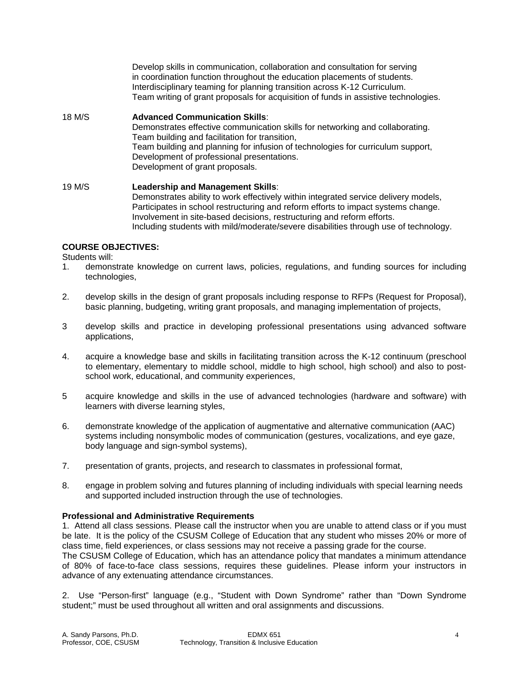Develop skills in communication, collaboration and consultation for serving in coordination function throughout the education placements of students. Interdisciplinary teaming for planning transition across K-12 Curriculum. Team writing of grant proposals for acquisition of funds in assistive technologies.

# 18 M/S **Advanced Communication Skills**: Demonstrates effective communication skills for networking and collaborating. Team building and facilitation for transition, Team building and planning for infusion of technologies for curriculum support, Development of professional presentations. Development of grant proposals.

19 M/S **Leadership and Management Skills**: Demonstrates ability to work effectively within integrated service delivery models, Participates in school restructuring and reform efforts to impact systems change. Involvement in site-based decisions, restructuring and reform efforts. Including students with mild/moderate/severe disabilities through use of technology.

# **COURSE OBJECTIVES:**

Students will:

- 1. demonstrate knowledge on current laws, policies, regulations, and funding sources for including technologies,
- 2. develop skills in the design of grant proposals including response to RFPs (Request for Proposal), basic planning, budgeting, writing grant proposals, and managing implementation of projects,
- 3 develop skills and practice in developing professional presentations using advanced software applications,
- 4. acquire a knowledge base and skills in facilitating transition across the K-12 continuum (preschool to elementary, elementary to middle school, middle to high school, high school) and also to postschool work, educational, and community experiences,
- 5 acquire knowledge and skills in the use of advanced technologies (hardware and software) with learners with diverse learning styles,
- 6. demonstrate knowledge of the application of augmentative and alternative communication (AAC) systems including nonsymbolic modes of communication (gestures, vocalizations, and eye gaze, body language and sign-symbol systems),
- 7. presentation of grants, projects, and research to classmates in professional format,
- 8. engage in problem solving and futures planning of including individuals with special learning needs and supported included instruction through the use of technologies.

# **Professional and Administrative Requirements**

1. Attend all class sessions. Please call the instructor when you are unable to attend class or if you must be late. It is the policy of the CSUSM College of Education that any student who misses 20% or more of class time, field experiences, or class sessions may not receive a passing grade for the course.

The CSUSM College of Education, which has an attendance policy that mandates a minimum attendance of 80% of face-to-face class sessions, requires these guidelines. Please inform your instructors in advance of any extenuating attendance circumstances.

2. Use "Person-first" language (e.g., "Student with Down Syndrome" rather than "Down Syndrome student;" must be used throughout all written and oral assignments and discussions.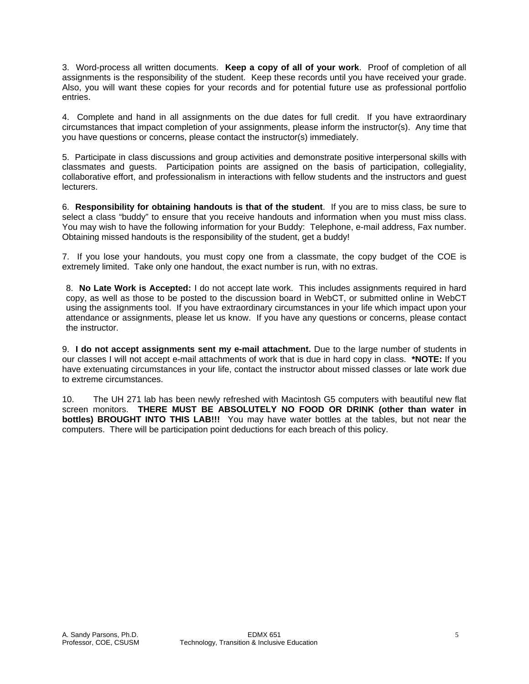3. Word-process all written documents. **Keep a copy of all of your work**. Proof of completion of all assignments is the responsibility of the student. Keep these records until you have received your grade. Also, you will want these copies for your records and for potential future use as professional portfolio entries.

4. Complete and hand in all assignments on the due dates for full credit. If you have extraordinary circumstances that impact completion of your assignments, please inform the instructor(s). Any time that you have questions or concerns, please contact the instructor(s) immediately.

5. Participate in class discussions and group activities and demonstrate positive interpersonal skills with classmates and guests. Participation points are assigned on the basis of participation, collegiality, collaborative effort, and professionalism in interactions with fellow students and the instructors and guest lecturers.

6. **Responsibility for obtaining handouts is that of the student**. If you are to miss class, be sure to select a class "buddy" to ensure that you receive handouts and information when you must miss class. You may wish to have the following information for your Buddy: Telephone, e-mail address, Fax number. Obtaining missed handouts is the responsibility of the student, get a buddy!

7. If you lose your handouts, you must copy one from a classmate, the copy budget of the COE is extremely limited. Take only one handout, the exact number is run, with no extras.

8. **No Late Work is Accepted:** I do not accept late work. This includes assignments required in hard copy, as well as those to be posted to the discussion board in WebCT, or submitted online in WebCT using the assignments tool. If you have extraordinary circumstances in your life which impact upon your attendance or assignments, please let us know. If you have any questions or concerns, please contact the instructor.

9. **I do not accept assignments sent my e-mail attachment.** Due to the large number of students in our classes I will not accept e-mail attachments of work that is due in hard copy in class. **\*NOTE:** If you have extenuating circumstances in your life, contact the instructor about missed classes or late work due to extreme circumstances.

10. The UH 271 lab has been newly refreshed with Macintosh G5 computers with beautiful new flat screen monitors. **THERE MUST BE ABSOLUTELY NO FOOD OR DRINK (other than water in bottles) BROUGHT INTO THIS LAB!!!** You may have water bottles at the tables, but not near the computers. There will be participation point deductions for each breach of this policy.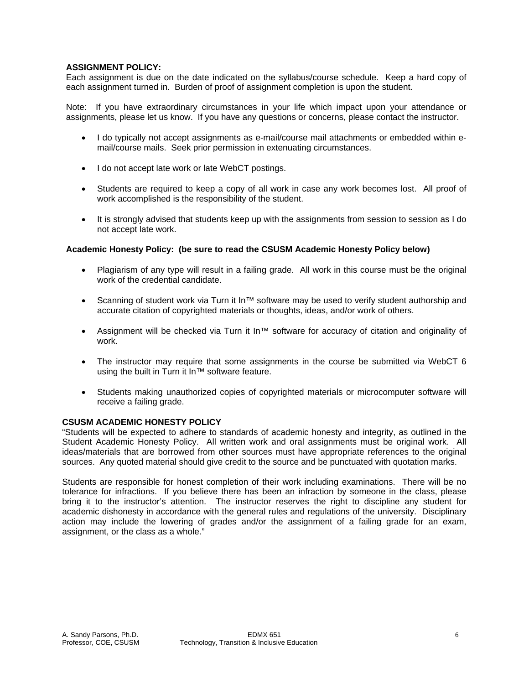# **ASSIGNMENT POLICY:**

Each assignment is due on the date indicated on the syllabus/course schedule. Keep a hard copy of each assignment turned in. Burden of proof of assignment completion is upon the student.

Note: If you have extraordinary circumstances in your life which impact upon your attendance or assignments, please let us know. If you have any questions or concerns, please contact the instructor.

- I do typically not accept assignments as e-mail/course mail attachments or embedded within email/course mails. Seek prior permission in extenuating circumstances.
- I do not accept late work or late WebCT postings.
- Students are required to keep a copy of all work in case any work becomes lost. All proof of work accomplished is the responsibility of the student.
- It is strongly advised that students keep up with the assignments from session to session as I do not accept late work.

# **Academic Honesty Policy: (be sure to read the CSUSM Academic Honesty Policy below)**

- Plagiarism of any type will result in a failing grade. All work in this course must be the original work of the credential candidate.
- Scanning of student work via Turn it In™ software may be used to verify student authorship and accurate citation of copyrighted materials or thoughts, ideas, and/or work of others.
- Assignment will be checked via Turn it In™ software for accuracy of citation and originality of work.
- The instructor may require that some assignments in the course be submitted via WebCT 6 using the built in Turn it In™ software feature.
- Students making unauthorized copies of copyrighted materials or microcomputer software will receive a failing grade.

# **CSUSM ACADEMIC HONESTY POLICY**

"Students will be expected to adhere to standards of academic honesty and integrity, as outlined in the Student Academic Honesty Policy. All written work and oral assignments must be original work. All ideas/materials that are borrowed from other sources must have appropriate references to the original sources. Any quoted material should give credit to the source and be punctuated with quotation marks.

Students are responsible for honest completion of their work including examinations. There will be no tolerance for infractions. If you believe there has been an infraction by someone in the class, please bring it to the instructor's attention. The instructor reserves the right to discipline any student for academic dishonesty in accordance with the general rules and regulations of the university. Disciplinary action may include the lowering of grades and/or the assignment of a failing grade for an exam, assignment, or the class as a whole."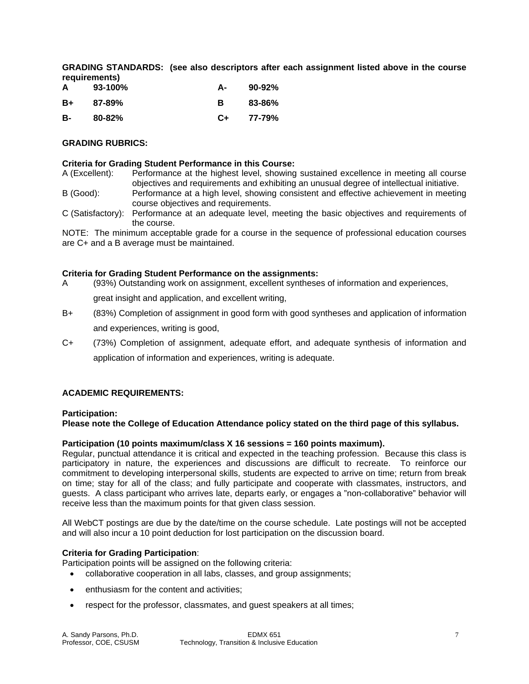**GRADING STANDARDS: (see also descriptors after each assignment listed above in the course requirements)** 

| A  | $93-100\%$ | А- | 90-92% |
|----|------------|----|--------|
| B+ | 87-89%     | в  | 83-86% |
| B- | $80 - 82%$ | C+ | 77-79% |

# **GRADING RUBRICS:**

#### **Criteria for Grading Student Performance in this Course:**

A (Excellent): Performance at the highest level, showing sustained excellence in meeting all course objectives and requirements and exhibiting an unusual degree of intellectual initiative.

- B (Good): Performance at a high level, showing consistent and effective achievement in meeting course objectives and requirements.
- C (Satisfactory): Performance at an adequate level, meeting the basic objectives and requirements of the course.

NOTE: The minimum acceptable grade for a course in the sequence of professional education courses are C+ and a B average must be maintained.

#### **Criteria for Grading Student Performance on the assignments:**

A (93%) Outstanding work on assignment, excellent syntheses of information and experiences,

great insight and application, and excellent writing,

- B+ (83%) Completion of assignment in good form with good syntheses and application of information and experiences, writing is good,
- C+ (73%) Completion of assignment, adequate effort, and adequate synthesis of information and application of information and experiences, writing is adequate.

# **ACADEMIC REQUIREMENTS:**

# **Participation:**

**Please note the College of Education Attendance policy stated on the third page of this syllabus.** 

# **Participation (10 points maximum/class X 16 sessions = 160 points maximum).**

Regular, punctual attendance it is critical and expected in the teaching profession. Because this class is participatory in nature, the experiences and discussions are difficult to recreate. To reinforce our commitment to developing interpersonal skills, students are expected to arrive on time; return from break on time; stay for all of the class; and fully participate and cooperate with classmates, instructors, and guests. A class participant who arrives late, departs early, or engages a "non-collaborative" behavior will receive less than the maximum points for that given class session.

All WebCT postings are due by the date/time on the course schedule. Late postings will not be accepted and will also incur a 10 point deduction for lost participation on the discussion board.

# **Criteria for Grading Participation**:

Participation points will be assigned on the following criteria:

- collaborative cooperation in all labs, classes, and group assignments;
- enthusiasm for the content and activities;
- respect for the professor, classmates, and guest speakers at all times;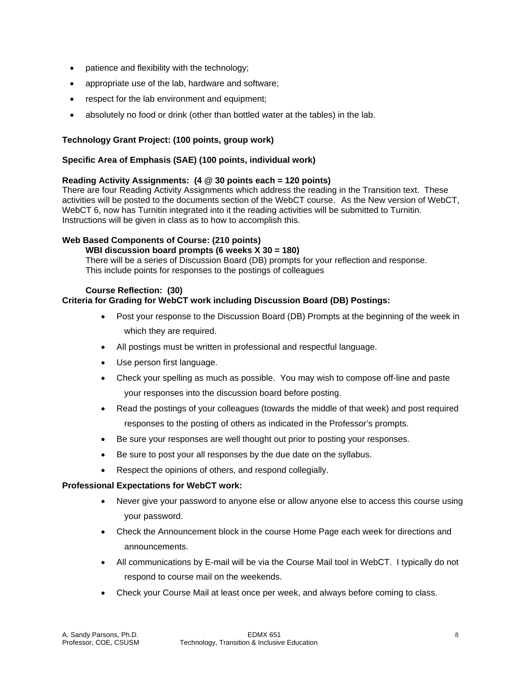- patience and flexibility with the technology;
- appropriate use of the lab, hardware and software;
- respect for the lab environment and equipment;
- absolutely no food or drink (other than bottled water at the tables) in the lab.

# **Technology Grant Project: (100 points, group work)**

# **Specific Area of Emphasis (SAE) (100 points, individual work)**

# **Reading Activity Assignments: (4 @ 30 points each = 120 points)**

There are four Reading Activity Assignments which address the reading in the Transition text. These activities will be posted to the documents section of the WebCT course. As the New version of WebCT, WebCT 6, now has Turnitin integrated into it the reading activities will be submitted to Turnitin. Instructions will be given in class as to how to accomplish this.

# **Web Based Components of Course: (210 points)**

# **WBI discussion board prompts (6 weeks X 30 = 180)**

There will be a series of Discussion Board (DB) prompts for your reflection and response. This include points for responses to the postings of colleagues

# **Course Reflection: (30)**

# **Criteria for Grading for WebCT work including Discussion Board (DB) Postings:**

- Post your response to the Discussion Board (DB) Prompts at the beginning of the week in which they are required.
- All postings must be written in professional and respectful language.
- Use person first language.
- Check your spelling as much as possible. You may wish to compose off-line and paste your responses into the discussion board before posting.
- Read the postings of your colleagues (towards the middle of that week) and post required responses to the posting of others as indicated in the Professor's prompts.
- Be sure your responses are well thought out prior to posting your responses.
- Be sure to post your all responses by the due date on the syllabus.
- Respect the opinions of others, and respond collegially.

# **Professional Expectations for WebCT work:**

- Never give your password to anyone else or allow anyone else to access this course using your password.
- Check the Announcement block in the course Home Page each week for directions and announcements.
- All communications by E-mail will be via the Course Mail tool in WebCT. I typically do not respond to course mail on the weekends.
- Check your Course Mail at least once per week, and always before coming to class.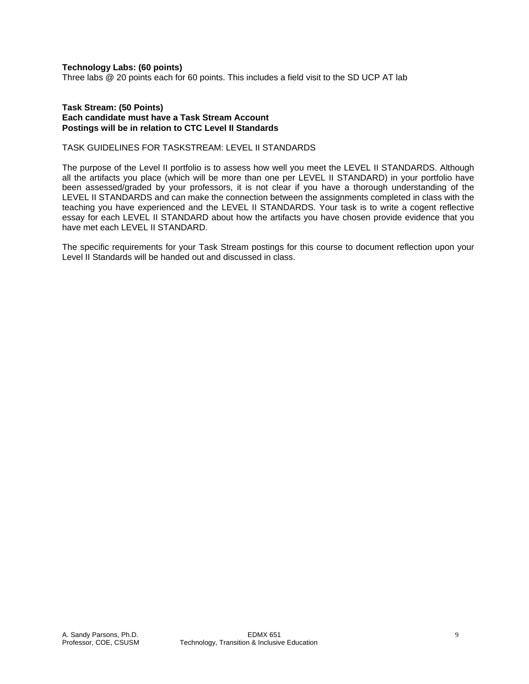**Technology Labs: (60 points)** 

Three labs @ 20 points each for 60 points. This includes a field visit to the SD UCP AT lab

#### **Task Stream: (50 Points) Each candidate must have a Task Stream Account Postings will be in relation to CTC Level II Standards**

# TASK GUIDELINES FOR TASKSTREAM: LEVEL II STANDARDS

The purpose of the Level II portfolio is to assess how well you meet the LEVEL II STANDARDS. Although all the artifacts you place (which will be more than one per LEVEL II STANDARD) in your portfolio have been assessed/graded by your professors, it is not clear if you have a thorough understanding of the LEVEL II STANDARDS and can make the connection between the assignments completed in class with the teaching you have experienced and the LEVEL II STANDARDS. Your task is to write a cogent reflective essay for each LEVEL II STANDARD about how the artifacts you have chosen provide evidence that you have met each LEVEL II STANDARD.

The specific requirements for your Task Stream postings for this course to document reflection upon your Level II Standards will be handed out and discussed in class.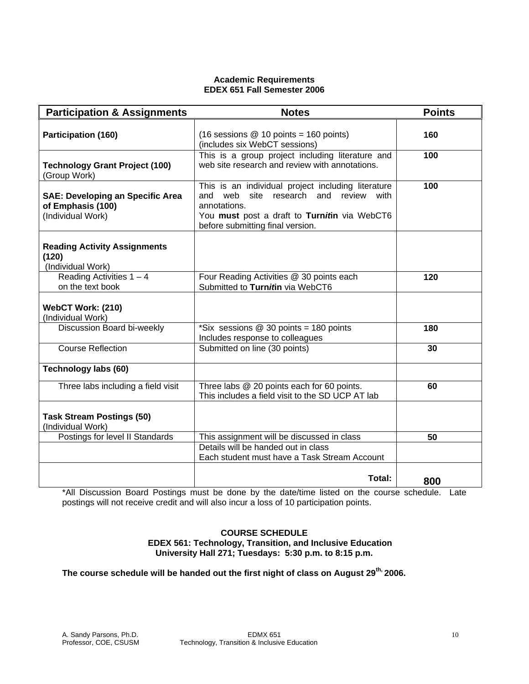# **Academic Requirements EDEX 651 Fall Semester 2006**

| <b>Participation &amp; Assignments</b>                                            | <b>Notes</b>                                                                                                                                                                                          | <b>Points</b> |
|-----------------------------------------------------------------------------------|-------------------------------------------------------------------------------------------------------------------------------------------------------------------------------------------------------|---------------|
| <b>Participation (160)</b>                                                        | $(16$ sessions @ 10 points = 160 points)<br>(includes six WebCT sessions)                                                                                                                             | 160           |
| <b>Technology Grant Project (100)</b><br>(Group Work)                             | This is a group project including literature and<br>web site research and review with annotations.                                                                                                    | 100           |
| <b>SAE: Developing an Specific Area</b><br>of Emphasis (100)<br>(Individual Work) | This is an individual project including literature<br>and web<br>site<br>research and review with<br>annotations.<br>You must post a draft to Turnitin via WebCT6<br>before submitting final version. | 100           |
| <b>Reading Activity Assignments</b><br>(120)<br>(Individual Work)                 |                                                                                                                                                                                                       |               |
| Reading Activities $1 - 4$<br>on the text book                                    | Four Reading Activities @ 30 points each<br>Submitted to Turnitin via WebCT6                                                                                                                          | 120           |
| WebCT Work: (210)<br>(Individual Work)                                            |                                                                                                                                                                                                       |               |
| Discussion Board bi-weekly                                                        | *Six sessions $@$ 30 points = $180$ points<br>Includes response to colleagues                                                                                                                         | 180           |
| <b>Course Reflection</b>                                                          | Submitted on line (30 points)                                                                                                                                                                         | 30            |
| <b>Technology labs (60)</b>                                                       |                                                                                                                                                                                                       |               |
| Three labs including a field visit                                                | Three labs @ 20 points each for 60 points.<br>This includes a field visit to the SD UCP AT lab                                                                                                        | 60            |
| <b>Task Stream Postings (50)</b><br>(Individual Work)                             |                                                                                                                                                                                                       |               |
| Postings for level II Standards                                                   | This assignment will be discussed in class                                                                                                                                                            | 50            |
|                                                                                   | Details will be handed out in class<br>Each student must have a Task Stream Account                                                                                                                   |               |
|                                                                                   | Total:                                                                                                                                                                                                | 800           |

\*All Discussion Board Postings must be done by the date/time listed on the course schedule. Late postings will not receive credit and will also incur a loss of 10 participation points.

# **COURSE SCHEDULE EDEX 561: Technology, Transition, and Inclusive Education University Hall 271; Tuesdays: 5:30 p.m. to 8:15 p.m.**

**The course schedule will be handed out the first night of class on August 29th, 2006.**